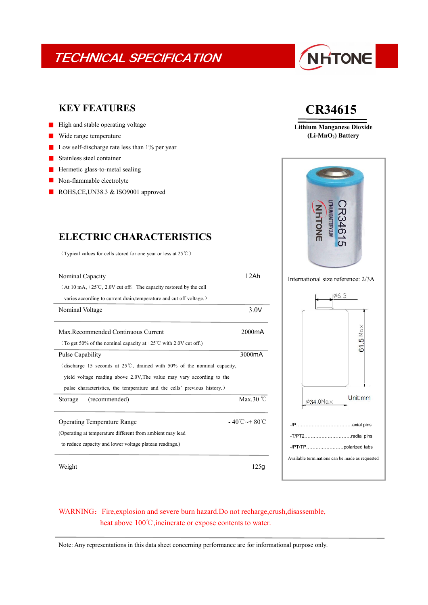## TECHNICAL SPECIFICATION

# NHTONE

### **KEY FEATURES**

- $\blacksquare$  High and stable operating voltage
- Wide range temperature  $\blacksquare$
- Low self-discharge rate less than 1% per year
- Stainless steel container
- Hermetic glass-to-metal sealing  $\blacksquare$
- Non-flammable electrolyte
- ROHS, CE, UN38.3 & ISO 9001 approved

(Typical values for cells stored for one year or less at 25℃)

| Nominal Capacity                                                                   | 12Ah                      | International size reference: 2/3A              |  |
|------------------------------------------------------------------------------------|---------------------------|-------------------------------------------------|--|
| $(At 10 mA, +25°C, 2.0V cut off, The capacity restored by the cell)$               |                           |                                                 |  |
| varies according to current drain, temperature and cut off voltage.)               |                           | 106.3                                           |  |
| Nominal Voltage                                                                    | 3.0V                      |                                                 |  |
|                                                                                    |                           |                                                 |  |
| Max.Recommended Continuous Current                                                 | 2000mA                    |                                                 |  |
| (To get 50% of the nominal capacity at +25 $\degree$ C with 2.0V cut off.)         |                           | 61.5 Ma $\times$                                |  |
| Pulse Capability                                                                   | 3000mA                    |                                                 |  |
| (discharge 15 seconds at $25^{\circ}$ C, drained with 50% of the nominal capacity, |                           |                                                 |  |
| yield voltage reading above 2.0V. The value may vary according to the              |                           |                                                 |  |
| pulse characteristics, the temperature and the cells' previous history.)           |                           |                                                 |  |
| (recommended)<br>Storage                                                           | Max.30 $°C$               | Unit:mm<br>$\varphi$ 34.0Max                    |  |
|                                                                                    |                           |                                                 |  |
| <b>Operating Temperature Range</b>                                                 | $-40^{\circ}$ C ~ + 80 °C |                                                 |  |
| (Operating at temperature different from ambient may lead                          |                           | -T/PT2radial pins                               |  |
| to reduce capacity and lower voltage plateau readings.)                            |                           |                                                 |  |
|                                                                                    |                           | Available terminations can be made as requested |  |
| Weight                                                                             | 125g                      |                                                 |  |
|                                                                                    |                           |                                                 |  |

## **CR34615**

**Lithium Manganese Dioxide (Li-MnO2) Battery**



### WARNING: Fire, explosion and severe burn hazard.Do not recharge, crush, disassemble, heat above 100℃, incinerate or expose contents to water.

Note: Any representations in this data sheet concerning performance are for informational purpose only.